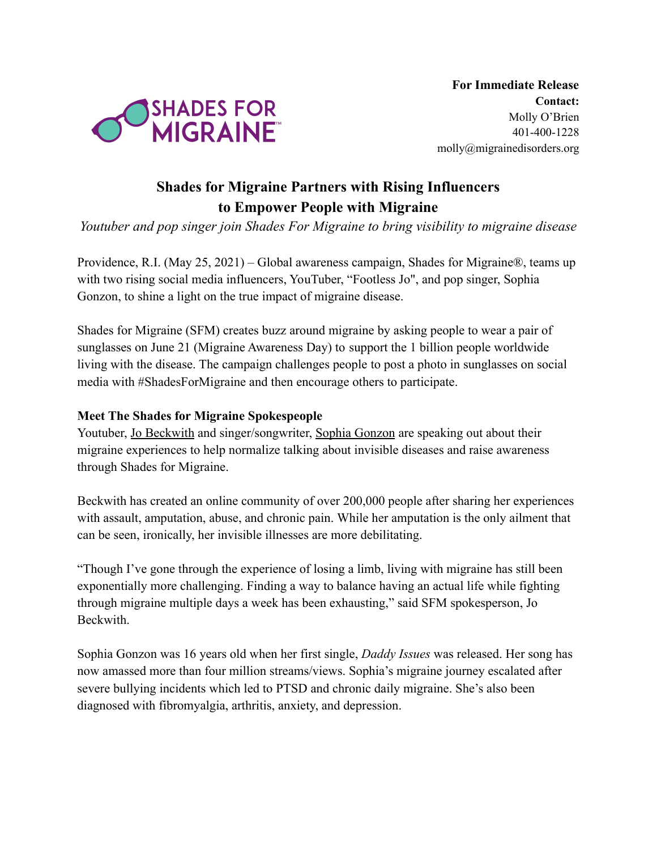

## **Shades for Migraine Partners with Rising Influencers to Empower People with Migraine**

*Youtuber and pop singer join Shades For Migraine to bring visibility to migraine disease*

Providence, R.I. (May 25, 2021) – Global awareness campaign, Shades for Migraine®, teams up with two rising social media influencers, YouTuber, "Footless Jo", and pop singer, Sophia Gonzon, to shine a light on the true impact of migraine disease.

Shades for Migraine (SFM) creates buzz around migraine by asking people to wear a pair of sunglasses on June 21 (Migraine Awareness Day) to support the 1 billion people worldwide living with the disease. The campaign challenges people to post a photo in sunglasses on social media with #ShadesForMigraine and then encourage others to participate.

## **Meet The Shades for Migraine Spokespeople**

Youtuber, [Jo Beckwith](https://www.youtube.com/channel/UCvFroKGvBjvALxCTFzZXL5w) and singer/songwriter, Sophia [Gonzon](https://www.instagram.com/sophiagonzon/) are speaking out about their migraine experiences to help normalize talking about invisible diseases and raise awareness through Shades for Migraine.

Beckwith has created an online community of over 200,000 people after sharing her experiences with assault, amputation, abuse, and chronic pain. While her amputation is the only ailment that can be seen, ironically, her invisible illnesses are more debilitating.

"Though I've gone through the experience of losing a limb, living with migraine has still been exponentially more challenging. Finding a way to balance having an actual life while fighting through migraine multiple days a week has been exhausting," said SFM spokesperson, Jo Beckwith.

Sophia Gonzon was 16 years old when her first single, *Daddy Issues* was released. Her song has now amassed more than four million streams/views. Sophia's migraine journey escalated after severe bullying incidents which led to PTSD and chronic daily migraine. She's also been diagnosed with fibromyalgia, arthritis, anxiety, and depression.